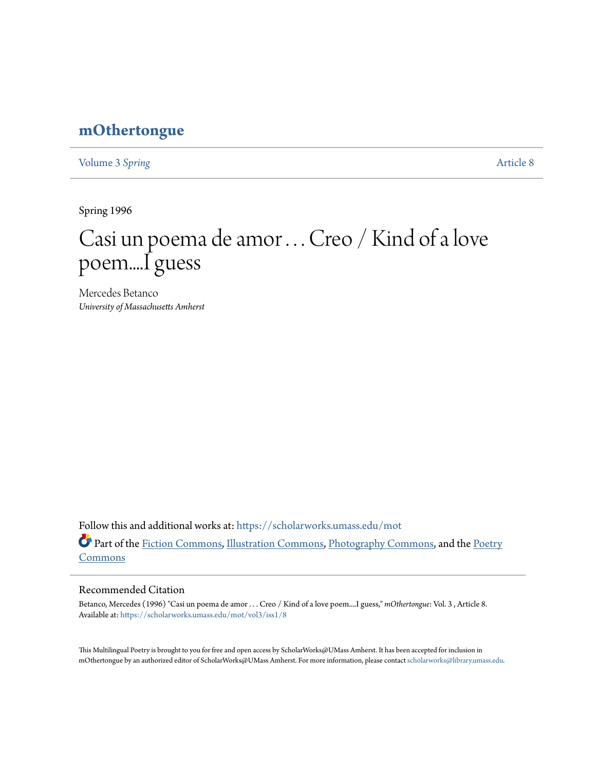# **[mOthertongue](https://scholarworks.umass.edu/mot?utm_source=scholarworks.umass.edu%2Fmot%2Fvol3%2Fiss1%2F8&utm_medium=PDF&utm_campaign=PDFCoverPages)**

[Volume 3](https://scholarworks.umass.edu/mot/vol3?utm_source=scholarworks.umass.edu%2Fmot%2Fvol3%2Fiss1%2F8&utm_medium=PDF&utm_campaign=PDFCoverPages) Spring **[Article 8](https://scholarworks.umass.edu/mot/vol3/iss1/8?utm_source=scholarworks.umass.edu%2Fmot%2Fvol3%2Fiss1%2F8&utm_medium=PDF&utm_campaign=PDFCoverPages)** 

Spring 1996

# Casi un poema de amor . . . Creo / Kind of a love poem....I guess

Mercedes Betanco *University of Massachusetts Amherst*

Follow this and additional works at: [https://scholarworks.umass.edu/mot](https://scholarworks.umass.edu/mot?utm_source=scholarworks.umass.edu%2Fmot%2Fvol3%2Fiss1%2F8&utm_medium=PDF&utm_campaign=PDFCoverPages) Part of the [Fiction Commons](http://network.bepress.com/hgg/discipline/1151?utm_source=scholarworks.umass.edu%2Fmot%2Fvol3%2Fiss1%2F8&utm_medium=PDF&utm_campaign=PDFCoverPages), [Illustration Commons,](http://network.bepress.com/hgg/discipline/1135?utm_source=scholarworks.umass.edu%2Fmot%2Fvol3%2Fiss1%2F8&utm_medium=PDF&utm_campaign=PDFCoverPages) [Photography Commons,](http://network.bepress.com/hgg/discipline/1142?utm_source=scholarworks.umass.edu%2Fmot%2Fvol3%2Fiss1%2F8&utm_medium=PDF&utm_campaign=PDFCoverPages) and the [Poetry](http://network.bepress.com/hgg/discipline/1153?utm_source=scholarworks.umass.edu%2Fmot%2Fvol3%2Fiss1%2F8&utm_medium=PDF&utm_campaign=PDFCoverPages) [Commons](http://network.bepress.com/hgg/discipline/1153?utm_source=scholarworks.umass.edu%2Fmot%2Fvol3%2Fiss1%2F8&utm_medium=PDF&utm_campaign=PDFCoverPages)

#### Recommended Citation

Betanco, Mercedes (1996) "Casi un poema de amor . . . Creo / Kind of a love poem....I guess," *mOthertongue*: Vol. 3 , Article 8. Available at: [https://scholarworks.umass.edu/mot/vol3/iss1/8](https://scholarworks.umass.edu/mot/vol3/iss1/8?utm_source=scholarworks.umass.edu%2Fmot%2Fvol3%2Fiss1%2F8&utm_medium=PDF&utm_campaign=PDFCoverPages)

This Multilingual Poetry is brought to you for free and open access by ScholarWorks@UMass Amherst. It has been accepted for inclusion in mOthertongue by an authorized editor of ScholarWorks@UMass Amherst. For more information, please contact [scholarworks@library.umass.edu](mailto:scholarworks@library.umass.edu).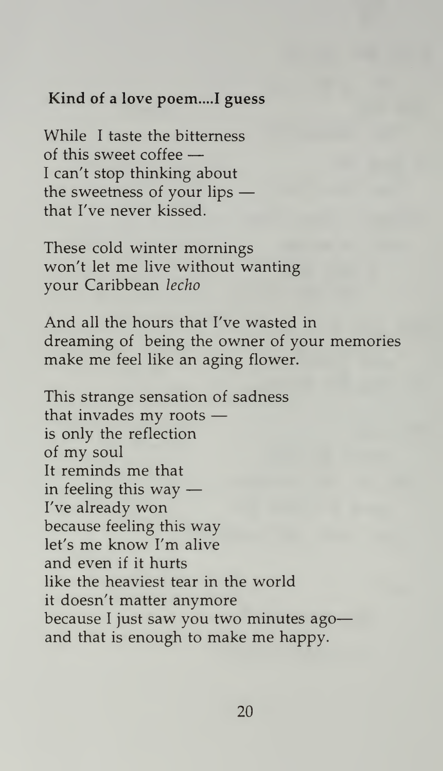### Kind of a love poem....I guess

While <sup>I</sup> taste the bitterness of this sweet coffee — <sup>I</sup> can't stop thinking about the sweetness of your lips that I've never kissed.

These cold winter mornings won't let me live without wanting your Caribbean lecho

And all the hours that I've wasted in dreaming of being the owner of your memories make me feel like an aging flower.

This strange sensation of sadness that invades my roots is only the reflection of my soul It reminds me that in feeling this way — I've already won because feeling this way let's me know I'm alive and even if it hurts like the heaviest tear in the world it doesn't matter anymore because <sup>I</sup> just saw you two minutes ago and that is enough to make me happy.